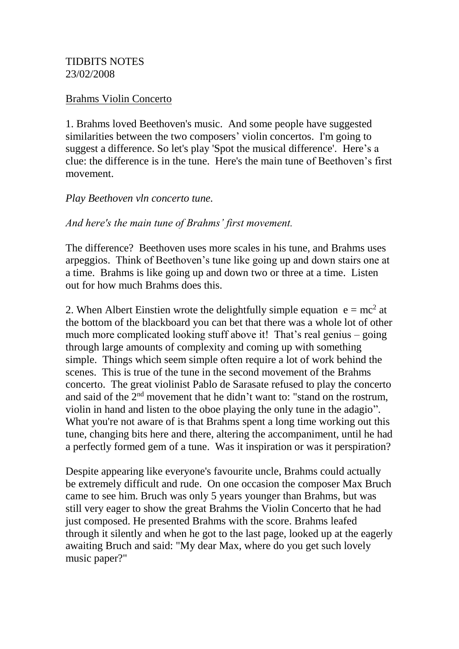## TIDBITS NOTES 23/02/2008

## Brahms Violin Concerto

1. Brahms loved Beethoven's music. And some people have suggested similarities between the two composers' violin concertos. I'm going to suggest a difference. So let's play 'Spot the musical difference'. Here's a clue: the difference is in the tune. Here's the main tune of Beethoven's first movement.

### *Play Beethoven vln concerto tune.*

### *And here's the main tune of Brahms' first movement.*

The difference? Beethoven uses more scales in his tune, and Brahms uses arpeggios. Think of Beethoven's tune like going up and down stairs one at a time. Brahms is like going up and down two or three at a time. Listen out for how much Brahms does this.

2. When Albert Einstien wrote the delightfully simple equation  $e = mc^2$  at the bottom of the blackboard you can bet that there was a whole lot of other much more complicated looking stuff above it! That's real genius – going through large amounts of complexity and coming up with something simple. Things which seem simple often require a lot of work behind the scenes. This is true of the tune in the second movement of the Brahms concerto. The great violinist Pablo de Sarasate refused to play the concerto and said of the 2nd movement that he didn't want to: "stand on the rostrum, violin in hand and listen to the oboe playing the only tune in the adagio". What you're not aware of is that Brahms spent a long time working out this tune, changing bits here and there, altering the accompaniment, until he had a perfectly formed gem of a tune. Was it inspiration or was it perspiration?

Despite appearing like everyone's favourite uncle, Brahms could actually be extremely difficult and rude. On one occasion the composer Max Bruch came to see him. Bruch was only 5 years younger than Brahms, but was still very eager to show the great Brahms the Violin Concerto that he had just composed. He presented Brahms with the score. Brahms leafed through it silently and when he got to the last page, looked up at the eagerly awaiting Bruch and said: "My dear Max, where do you get such lovely music paper?"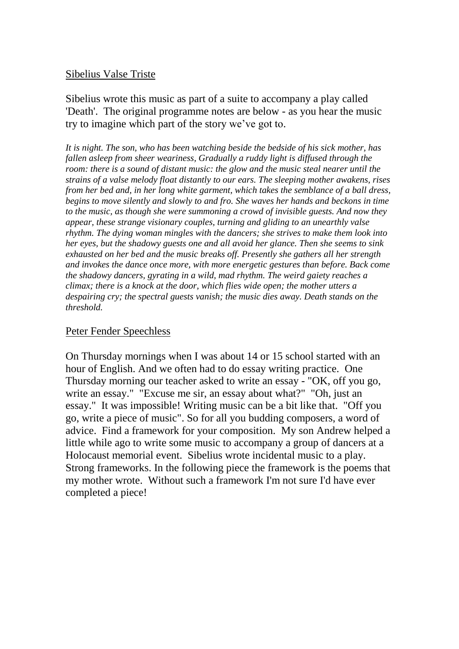## Sibelius Valse Triste

Sibelius wrote this music as part of a suite to accompany a play called 'Death'. The original programme notes are below - as you hear the music try to imagine which part of the story we've got to.

*It is night. The son, who has been watching beside the bedside of his sick mother, has fallen asleep from sheer weariness, Gradually a ruddy light is diffused through the room: there is a sound of distant music: the glow and the music steal nearer until the strains of a valse melody float distantly to our ears. The sleeping mother awakens, rises from her bed and, in her long white garment, which takes the semblance of a ball dress, begins to move silently and slowly to and fro. She waves her hands and beckons in time to the music, as though she were summoning a crowd of invisible guests. And now they appear, these strange visionary couples, turning and gliding to an unearthly valse rhythm. The dying woman mingles with the dancers; she strives to make them look into her eyes, but the shadowy guests one and all avoid her glance. Then she seems to sink exhausted on her bed and the music breaks off. Presently she gathers all her strength and invokes the dance once more, with more energetic gestures than before. Back come the shadowy dancers, gyrating in a wild, mad rhythm. The weird gaiety reaches a climax; there is a knock at the door, which flies wide open; the mother utters a despairing cry; the spectral guests vanish; the music dies away. Death stands on the threshold.*

# Peter Fender Speechless

On Thursday mornings when I was about 14 or 15 school started with an hour of English. And we often had to do essay writing practice. One Thursday morning our teacher asked to write an essay - "OK, off you go, write an essay." "Excuse me sir, an essay about what?" "Oh, just an essay." It was impossible! Writing music can be a bit like that. "Off you go, write a piece of music". So for all you budding composers, a word of advice. Find a framework for your composition. My son Andrew helped a little while ago to write some music to accompany a group of dancers at a Holocaust memorial event. Sibelius wrote incidental music to a play. Strong frameworks. In the following piece the framework is the poems that my mother wrote. Without such a framework I'm not sure I'd have ever completed a piece!